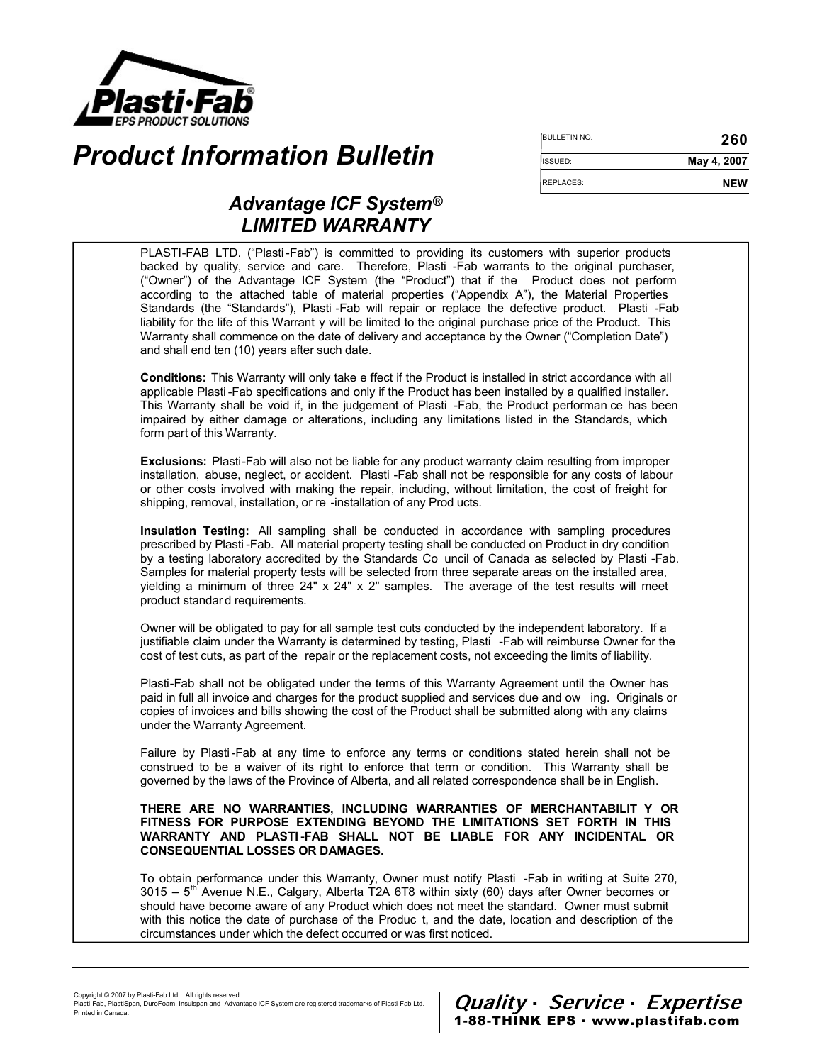

# **Product Information Bulletin**

| <b>BULLETIN NO.</b> | 260         |  |
|---------------------|-------------|--|
| ISSUED:             | May 4, 2007 |  |
| <b>REPLACES:</b>    | <b>NFW</b>  |  |

## Advantage ICF System® LIMITED WARRANTY

PLASTI-FAB LTD. ("Plasti -Fab") is committed to providing its customers with superior products backed by quality, service and care. Therefore, Plasti -Fab warrants to the original purchaser, ("Owner") of the Advantage ICF System (the "Product") that if the Product does not perform according to the attached table of material properties ("Appendix A"), the Material Properties Standards (the "Standards"), Plasti -Fab will repair or replace the defective product. Plasti -Fab liability for the life of this Warrant y will be limited to the original purchase price of the Product. This Warranty shall commence on the date of delivery and acceptance by the Owner ("Completion Date") and shall end ten (10) years after such date.

Conditions: This Warranty will only take e ffect if the Product is installed in strict accordance with all applicable Plasti -Fab specifications and only if the Product has been installed by a qualified installer. This Warranty shall be void if, in the judgement of Plasti -Fab, the Product performan ce has been impaired by either damage or alterations, including any limitations listed in the Standards, which form part of this Warranty.

Exclusions: Plasti-Fab will also not be liable for any product warranty claim resulting from improper installation, abuse, neglect, or accident. Plasti -Fab shall not be responsible for any costs of labour or other costs involved with making the repair, including, without limitation, the cost of freight for shipping, removal, installation, or re -installation of any Prod ucts.

Insulation Testing: All sampling shall be conducted in accordance with sampling procedures prescribed by Plasti -Fab. All material property testing shall be conducted on Product in dry condition by a testing laboratory accredited by the Standards Co uncil of Canada as selected by Plasti -Fab. Samples for material property tests will be selected from three separate areas on the installed area, yielding a minimum of three  $24" \times 24" \times 2"$  samples. The average of the test results will meet product standar d requirements.

Owner will be obligated to pay for all sample test cuts conducted by the independent laboratory. If a justifiable claim under the Warranty is determined by testing, Plasti -Fab will reimburse Owner for the cost of test cuts, as part of the repair or the replacement costs, not exceeding the limits of liability.

Plasti-Fab shall not be obligated under the terms of this Warranty Agreement until the Owner has paid in full all invoice and charges for the product supplied and services due and ow ing. Originals or copies of invoices and bills showing the cost of the Product shall be submitted along with any claims under the Warranty Agreement.

Failure by Plasti -Fab at any time to enforce any terms or conditions stated herein shall not be construed to be a waiver of its right to enforce that term or condition. This Warranty shall be governed by the laws of the Province of Alberta, and all related correspondence shall be in English.

#### THERE ARE NO WARRANTIES, INCLUDING WARRANTIES OF MERCHANTABILIT Y OR FITNESS FOR PURPOSE EXTENDING BEYOND THE LIMITATIONS SET FORTH IN THIS WARRANTY AND PLASTI -FAB SHALL NOT BE LIABLE FOR ANY INCIDENTAL OR CONSEQUENTIAL LOSSES OR DAMAGES.

To obtain performance under this Warranty, Owner must notify Plasti -Fab in writing at Suite 270,  $3015 - 5$ <sup>th</sup> Avenue N.E., Calgary, Alberta T2A 6T8 within sixty (60) days after Owner becomes or should have become aware of any Product which does not meet the standard. Owner must submit with this notice the date of purchase of the Produc t, and the date, location and description of the circumstances under which the defect occurred or was first noticed.

Copyright © 2007 by Plasti-Fab Ltd.. All rights reserved.

Plasti-Fab, PlastiSpan, DuroFoam, Insulspan and Advantage ICF System are registered trademarks of Plasti-Fab Ltd. Printed in Canada.

1-88-THINK EPS . www.plastifab.com Quality · Service · Expertise